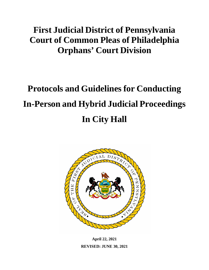## **First Judicial District of Pennsylvania Court of Common Pleas of Philadelphia Orphans' Court Division**

# **Protocols and Guidelines for Conducting In-Person and Hybrid Judicial Proceedings In City Hall**



**April 22, 2021 REVISED: JUNE 30, 2021**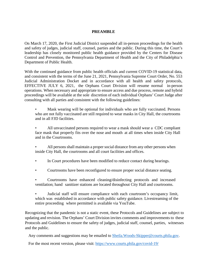#### **PREAMBLE**

On March 17, 2020, the First Judicial District suspended all in-person proceedings for the health and safety of judges, judicial staff, counsel, parties and the public. During this time, the Court's leadership has closely monitored public health guidance provided by the Centers for Disease Control and Prevention, the Pennsylvania Department of Health and the City of Philadelphia's Department of Public Health.

With the continued guidance from public health officials and current COVID-19 statistical data, and consistent with the terms of the June 21, 2021, Pennsylvania Supreme Court Order, No. 553 Judicial Administration Docket and in accordance with all health and safety protocols, EFFECTIVE JULY 6, 2021, the Orphans Court Division will resume normal in-person operations. When necessary and appropriate to ensure access and due process, remote and hybrid proceedings will be available at the sole discretion of each individual Orphans' Court Judge after consulting with all parties and consistent with the following guidelines:

Mask wearing will be optional for individuals who are fully vaccinated. Persons who are not fully vaccinated are still required to wear masks in City Hall, the courtrooms and in all FJD facilities.

• All unvaccinated persons required to wear a mask should wear a CDC compliant face mask that properly fits over the nose and mouth at all times when inside City Hall and in the Courtrooms.

- All persons shall maintain a proper social distance from any other persons when inside City Hall, the courtrooms and all court facilities and offices.
- In Court procedures have been modified to reduce contact during hearings.
- Courtrooms have been reconfigured to ensure proper social distance seating.
- Courtrooms have enhanced cleaning/disinfecting protocols and increased ventilation; hand sanitizer stations are located throughout City Hall and courtrooms.

• Judicial staff will ensure compliance with each courtroom's occupancy limit, which was established in accordance with public safety guidance. Livestreaming of the entire proceeding where permitted is available via YouTube.

Recognizing that the pandemic is not a static event, these Protocols and Guidelines are subject to updating and revision. The Orphans' Court Division invites comments and improvements to these Protocols and Guidelines to ensure the safety of judges, judicial staff, counsel, parties, witnesses and the public.

Any comments and suggestions may be emailed to [Sheila.Woods-Skipper@courts.phila.gov.](mailto:Sheila.Woods-Skipper@courts.phila.gov)

For the most recent version, please visit: https[://www.courts.phila.gov/covid-19/](http://www.courts.phila.gov/covid-19/)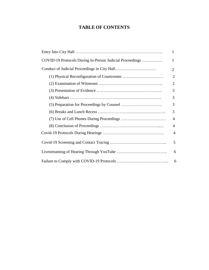### **TABLE OF CONTENTS**

|                                                          | 1              |
|----------------------------------------------------------|----------------|
| COVID-19 Protocols During In-Person Judicial Proceedings | 1              |
|                                                          | $\overline{2}$ |
|                                                          | $\overline{2}$ |
|                                                          | 2              |
|                                                          | 3              |
|                                                          | 3              |
|                                                          | 3              |
|                                                          | 3              |
|                                                          | $\overline{4}$ |
|                                                          | 4              |
|                                                          | $\overline{4}$ |
|                                                          | 5              |
|                                                          | 6              |
|                                                          | 6              |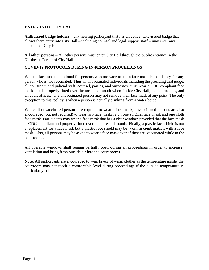#### **ENTRY INTO CITY HALL**

**Authorized badge holders** – any hearing participant that has an active, City-issued badge that allows them entry into City Hall – including counsel and legal support staff – may enter any entrance of City Hall.

**All other persons** – All other persons must enter City Hall through the public entrance in the Northeast Corner of City Hall.

#### **COVID-19 PROTOCOLS DURING IN-PERSON PROCEEDINGS**

While a face mask is optional for persons who are vaccinated, a face mask is mandatory for any person who is not vaccinated. Thus all unvaccinated individuals including the presiding trial judge, all courtroom and judicial staff, counsel, parties, and witnesses must wear a CDC compliant face mask that is properly fitted over the nose and mouth when inside City Hall, the courtrooms, and all court offices. The unvaccinated person may not remove their face mask at any point. The only exception to this policy is when a person is actually drinking from a water bottle.

While all unvaccinated persons are required to wear a face mask, unvaccinated persons are also encouraged (but not required) to wear two face masks, *e.g.,* one surgical face mask and one cloth face mask. Participants may wear a face mask that has a clear window provided that the face mask is CDC compliant and properly fitted over the nose and mouth. Finally, a plastic face shield is not a replacement for a face mask but a plastic face shield may be worn in **combination** with a face mask. Also, all persons may be asked to wear a face mask even if they are vaccinated while in the courtrooms.

All operable windows shall remain partially open during all proceedings in order to increase ventilation and bring fresh outside air into the court rooms.

**Note**: All participants are encouraged to wear layers of warm clothes as the temperature inside the courtroom may not reach a comfortable level during proceedings if the outside temperature is particularly cold.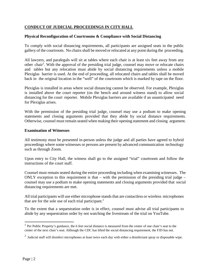#### **CONDUCT OF JUDICIAL PROCEEDINGS IN CITY HALL**

#### **Physical Reconfiguration of Courtrooms & Compliance with Social Distancing**

To comply with social distancing requirements, all participants are assigned seats in the public gallery of the courtroom. No chairs shall be moved or relocated at any point during the proceeding.

All lawyers, and paralegals will sit at tables where each chair is at least six feet away from any other chair<sup>1</sup>. With the approval of the presiding trial judge, counsel may move or relocate chairs and tables but any relocation must abide by social distancing requirements unless a mobile Plexiglas barrier is used. At the end of proceeding, all relocated chairs and tables shall be moved back in the original location in the "well" of the courtroom which is marked by tape on the floor.

Plexiglas is installed in areas where social distancing cannot be observed. For example, Plexiglas is installed above the court reporter (on the bench and around witness stand) to allow social distancing for the court reporter. Mobile Plexiglas barriers are available if an unanticipated need for Plexiglas arises.

With the permission of the presiding trial judge, counsel may use a podium to make opening statements and closing arguments provided that they abide by social distance requirements. Otherwise, counsel must remain seated when making their opening statement and closing argument.

#### **Examination of Witnesses**

All testimony must be presented in-person unless the judge and all parties have agreed to hybrid proceedings where some witnesses or persons are present by advanced communication technology such as through Zoom.

Upon entry to City Hall, the witness shall go to the assigned "trial" courtroom and follow the instructions of the court staff.

Counsel must remain seated during the entire proceeding including when examining witnesses. The ONLY exception to this requirement is that – with the permission of the presiding trial judge – counsel may use a podium to make opening statements and closing arguments provided that social distancing requirements are met.

All trial participants will use either microphone stands that are contactless or wireless microphones that are for the sole use of each trial participant. 2

To the extent that a sequestration order is in effect, counsel must advise all trial participants to abide by any sequestration order by not watching the livestream of the trial on YouTube.

<sup>&</sup>lt;sup>1</sup> Per Public Property's guidance, the 6 feet social distance is measured from the center of one chair's seat to the center of the next chair's seat. Although the CDC has lifted the social distancing requirement, the FJD has not.

<sup>&</sup>lt;sup>2</sup> Judicial staff will disinfect microphones at least twice each day with either a disinfectant spray or disposable wipe.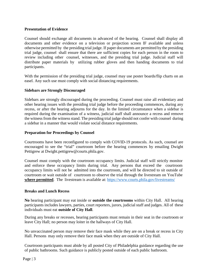#### **Presentation of Evidence**

Counsel should exchange all documents in advanced of the hearing. Counsel shall display all documents and other evidence on a television or projection screen IF available and unless otherwise permitted by the presiding trial judge. If paper documents are permitted by the presiding trial judge, counsel shall ensure that there are sufficient copies for each person in the room to review including other counsel, witnesses, and the presiding trial judge. Judicial staff will distribute paper materials by utilizing rubber gloves and then handing documents to trial participants.

With the permission of the presiding trial judge, counsel may use poster boards/flip charts on an easel. Any such use must comply with social distancing requirements.

#### **Sidebars are Strongly Discouraged**

Sidebars are strongly discouraged during the proceeding. Counsel must raise all evidentiary and other hearing issues with the presiding trial judge before the proceeding commences, during any recess, or after the hearing adjourns for the day. In the limited circumstance when a sidebar is required during the examination of a witness, judicial staff shall announce a recess and remove the witnessfrom the witness stand. The presiding trial judge should not confer with counsel during a sidebar in a manner that would violate social distance requirements.

#### **Preparation for Proceedings by Counsel**

Courtrooms have been reconfigured to comply with COVID-19 protocols. As such, counsel are encouraged to see the "trial" courtroom before the hearing commences by emailing Dwight Pettigrew at [Dwight.pettigrew@courts.phila.gov.](mailto:Dwight.pettigrew@courts.phila.gov)

Counsel must comply with the courtroom occupancy limits. Judicial staff will strictly monitor and enforce these occupancy limits during trial. Any persons that exceed the courtroom occupancy limits will not be admitted into the courtroom, and will be directed to sit outside of courtroom or wait outside of courtroom to observe the trial through the livestream on YouTube **where permitted**. The livestream is available at: <https://www.courts.phila.gov/livestreams/>

#### **Breaks and Lunch Recess**

**No** hearing participant may eat inside or **outside the courtrooms** within City Hall. All hearing participants includes lawyers, parties, court reporters, jurors, judicial staff and judges. All of these individuals must eat **outside of City Hall**.

During any breaks or recesses, hearing participants must remain in their seat in the courtroom or leave City Hall; no person may loiter in the hallways of City Hall.

No unvaccinated person may remove their face mask while they are on a break or recess in City Hall. Persons may only remove their face mask when they are outside of City Hall.

Courtroom participants must abide by all posted City of Philadelphia guidance regarding the use of public bathrooms. Such guidance is publicly posted outside of each public bathroom.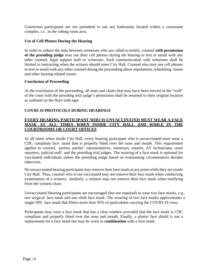Courtroom participants are not permitted to use any bathrooms located within a courtroom complex, *i.e.*, in the robing room area.

#### **Use of Cell Phones During the Hearing**

In order to reduce the time between witnesses who are called to testify, counsel **with permission of the presiding judge** may use their cell phones during the hearing to text or email with any other counsel, legal support staff or witnesses. Such communication with witnesses shall be limited to instructing when the witness should enter City Hall. Counsel also may use cell phones to text or email with any other counsel during the proceeding about stipulations, scheduling issues and other hearing related issues.

#### **Conclusion of Proceeding**

At the conclusion of the proceeding, all seats and chairs that may have been moved in the "well" of the court with the presiding trial judge's permission shall be returned to their original location as outlined on the floor with tape.

#### **COVID-19 PROTOCOLS DURING HEARINGS**

#### **EVERY HEARING PARTICIPANT WHO IS UNVACCINATED MUST WEAR A FACE MASK AT ALL TIMES WHEN INSIDE CITY HALL AND WHILE IN THE COURTROOMS OR COURT OFFICES**

At all times when inside City Hall, every hearing participant who is unvaccinated must wear a CDC compliant face mask that is properly fitted over the nose and mouth. This requirement applies to counsel, parties, parties' representatives, witnesses, experts, AV technicians, court reporters, judicial staff and the presiding trial judges. The wearing of a face mask is optional for vaccinated individuals unless the presiding judge based on extenuating circumstances decides otherwise.

No unvaccinated hearing participant may remove their face mask at any point while they are inside City Hall. Thus, counsel who is not vaccinated may not remove their face mask when conducting examination of a witness; similarly, a witness may not remove their face mask when testifying from the witness chair.

Unvaccinated Hearing participants are encouraged (but not required) to wear two face masks, *e.g*., one surgical face mask and one cloth face mask. The wearing of two face masks approximates a single N95 face mask that filters more than 95% of particulates carrying the COVID-19 virus.

Participants may wear a face mask that has a clear window provided that the face mask is CDC compliant and properly fitted over the nose and mouth. Finally, a plastic face shield is not a replacement for a face mask but may be worn in **combination** with a face mask.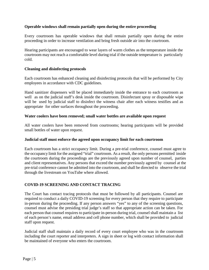#### **Operable windows shall remain partially open during the entire proceeding**

Every courtroom has operable windows that shall remain partially open during the entire proceeding in order to increase ventilation and bring fresh outside air into the courtroom.

Hearing participants are encouraged to wear layers of warm clothes as the temperature inside the courtroom may not reach a comfortable level during trial if the outside temperature is particularly cold.

#### **Cleaning and disinfecting protocols**

Each courtroom has enhanced cleaning and disinfecting protocols that will be performed by City employees in accordance with CDC guidelines.

Hand sanitizer dispensers will be placed immediately inside the entrance to each courtroom as well as on the judicial staff's desk inside the courtroom. Disinfectant spray or disposable wipe will be used by judicial staff to disinfect the witness chair after each witness testifies and as appropriate for other surfaces throughout the proceeding.

#### **Water coolers have been removed; small water bottles are available upon request**

All water coolers have been removed from courtrooms; hearing participants will be provided small bottles of water upon request.

#### **Judicial staff must enforce the agreed upon occupancy limit for each courtroom**

Each courtroom has a strict occupancy limit. During a pre-trial conference, counsel must agree to the occupancy limit for the assigned "trial" courtroom. As a result, the only persons permitted inside the courtroom during the proceedings are the previously agreed upon number of counsel, parties and client representatives. Any persons that exceed the number previously agreed by counsel at the pre-trial conference cannot be admitted into the courtroom, and shall be directed to observe the trial through the livestream on YouTube where allowed.

#### **COVID-19 SCREENING AND CONTACT TRACING**

The Court has contact tracing protocols that must be followed by all participants. Counsel are required to conduct a daily COVID-19 screening for every person that they require to participate in-person during the proceeding. If any person answers "yes" to any of the screening questions, counsel must advise the presiding trial judge's staff so that appropriate action can be taken. For each person that counsel requires to participate in-person during trial, counsel shall maintain a list of each person's name, email address and cell phone number, which shall be provided to judicial staff upon request.

Judicial staff shall maintain a daily record of every court employee who was in the courtroom including the court reporter and interpreters. A sign in sheet or log with contact information shall be maintained of everyone who enters the courtroom.